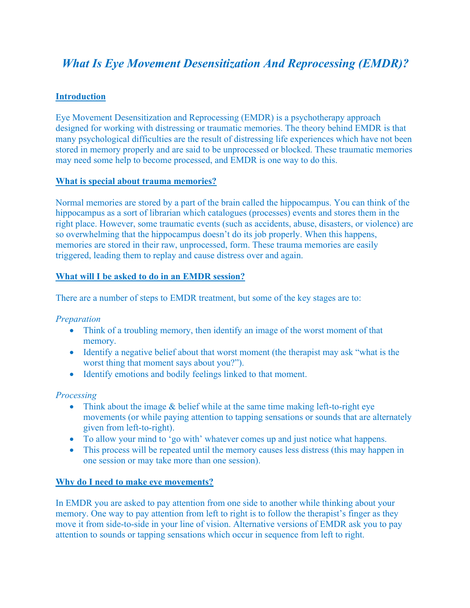# *What Is Eye Movement Desensitization And Reprocessing (EMDR)?*

# **Introduction**

Eye Movement Desensitization and Reprocessing (EMDR) is a psychotherapy approach designed for working with distressing or traumatic memories. The theory behind EMDR is that many psychological difficulties are the result of distressing life experiences which have not been stored in memory properly and are said to be unprocessed or blocked. These traumatic memories may need some help to become processed, and EMDR is one way to do this.

## **What is special about trauma memories?**

Normal memories are stored by a part of the brain called the hippocampus. You can think of the hippocampus as a sort of librarian which catalogues (processes) events and stores them in the right place. However, some traumatic events (such as accidents, abuse, disasters, or violence) are so overwhelming that the hippocampus doesn't do its job properly. When this happens, memories are stored in their raw, unprocessed, form. These trauma memories are easily triggered, leading them to replay and cause distress over and again.

## **What will I be asked to do in an EMDR session?**

There are a number of steps to EMDR treatment, but some of the key stages are to:

#### *Preparation*

- Think of a troubling memory, then identify an image of the worst moment of that memory.
- Identify a negative belief about that worst moment (the therapist may ask "what is the worst thing that moment says about you?").
- Identify emotions and bodily feelings linked to that moment.

## *Processing*

- Think about the image & belief while at the same time making left-to-right eye movements (or while paying attention to tapping sensations or sounds that are alternately given from left-to-right).
- To allow your mind to 'go with' whatever comes up and just notice what happens.
- This process will be repeated until the memory causes less distress (this may happen in one session or may take more than one session).

#### **Why do I need to make eye movements?**

In EMDR you are asked to pay attention from one side to another while thinking about your memory. One way to pay attention from left to right is to follow the therapist's finger as they move it from side-to-side in your line of vision. Alternative versions of EMDR ask you to pay attention to sounds or tapping sensations which occur in sequence from left to right.